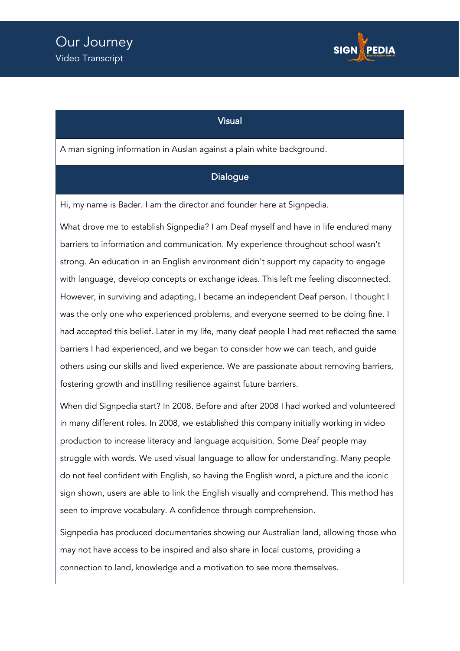

## Visual

A man signing information in Auslan against a plain white background.

## **Dialogue**

Hi, my name is Bader. I am the director and founder here at Signpedia.

What drove me to establish Signpedia? I am Deaf myself and have in life endured many barriers to information and communication. My experience throughout school wasn't strong. An education in an English environment didn't support my capacity to engage with language, develop concepts or exchange ideas. This left me feeling disconnected. However, in surviving and adapting, I became an independent Deaf person. I thought I was the only one who experienced problems, and everyone seemed to be doing fine. I had accepted this belief. Later in my life, many deaf people I had met reflected the same barriers I had experienced, and we began to consider how we can teach, and guide others using our skills and lived experience. We are passionate about removing barriers, fostering growth and instilling resilience against future barriers.

When did Signpedia start? In 2008. Before and after 2008 I had worked and volunteered in many different roles. In 2008, we established this company initially working in video production to increase literacy and language acquisition. Some Deaf people may struggle with words. We used visual language to allow for understanding. Many people do not feel confident with English, so having the English word, a picture and the iconic sign shown, users are able to link the English visually and comprehend. This method has seen to improve vocabulary. A confidence through comprehension.

Signpedia has produced documentaries showing our Australian land, allowing those who may not have access to be inspired and also share in local customs, providing a connection to land, knowledge and a motivation to see more themselves.